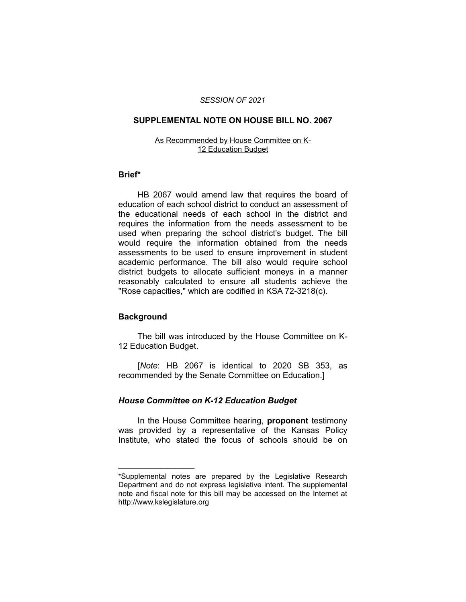#### *SESSION OF 2021*

### **SUPPLEMENTAL NOTE ON HOUSE BILL NO. 2067**

#### As Recommended by House Committee on K-12 Education Budget

#### **Brief\***

HB 2067 would amend law that requires the board of education of each school district to conduct an assessment of the educational needs of each school in the district and requires the information from the needs assessment to be used when preparing the school district's budget. The bill would require the information obtained from the needs assessments to be used to ensure improvement in student academic performance. The bill also would require school district budgets to allocate sufficient moneys in a manner reasonably calculated to ensure all students achieve the "Rose capacities," which are codified in KSA 72-3218(c).

## **Background**

 $\overline{\phantom{a}}$  , where  $\overline{\phantom{a}}$  , where  $\overline{\phantom{a}}$ 

The bill was introduced by the House Committee on K-12 Education Budget.

[*Note*: HB 2067 is identical to 2020 SB 353, as recommended by the Senate Committee on Education.]

## *House Committee on K-12 Education Budget*

In the House Committee hearing, **proponent** testimony was provided by a representative of the Kansas Policy Institute, who stated the focus of schools should be on

<sup>\*</sup>Supplemental notes are prepared by the Legislative Research Department and do not express legislative intent. The supplemental note and fiscal note for this bill may be accessed on the Internet at http://www.kslegislature.org